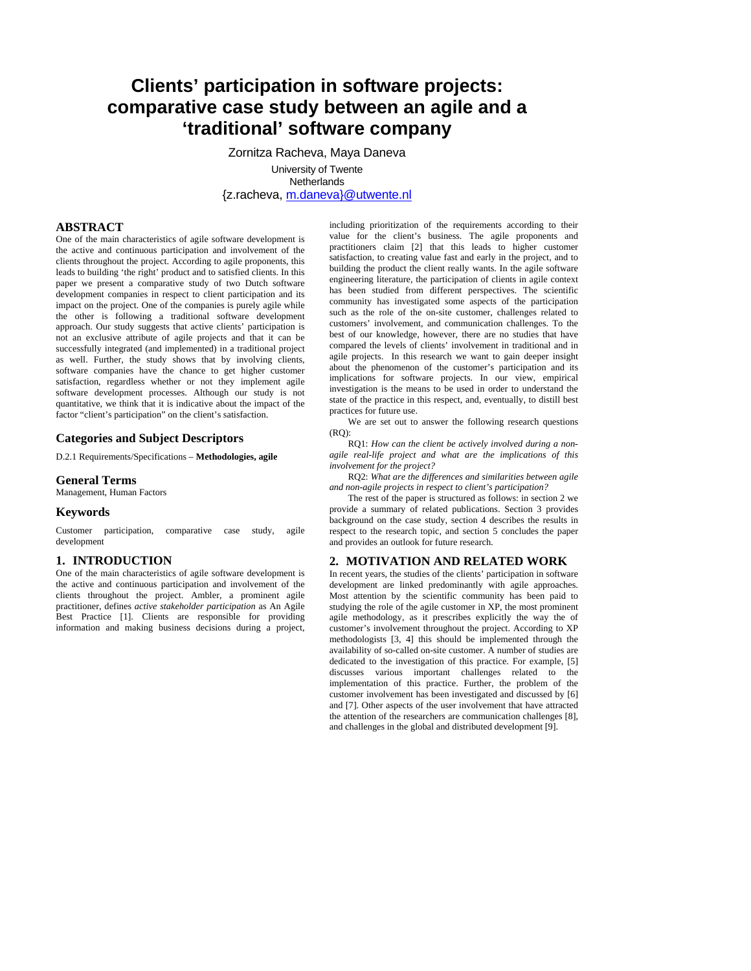# **Clients' participation in software projects: comparative case study between an agile and a 'traditional' software company**

Zornitza Racheva, Maya Daneva

University of Twente **Netherlands** {z.racheva, m.daneva}@utwente.nl

# **ABSTRACT**

One of the main characteristics of agile software development is the active and continuous participation and involvement of the clients throughout the project. According to agile proponents, this leads to building 'the right' product and to satisfied clients. In this paper we present a comparative study of two Dutch software development companies in respect to client participation and its impact on the project. One of the companies is purely agile while the other is following a traditional software development approach. Our study suggests that active clients' participation is not an exclusive attribute of agile projects and that it can be successfully integrated (and implemented) in a traditional project as well. Further, the study shows that by involving clients, software companies have the chance to get higher customer satisfaction, regardless whether or not they implement agile software development processes. Although our study is not quantitative, we think that it is indicative about the impact of the factor "client's participation" on the client's satisfaction.

# **Categories and Subject Descriptors**

D.2.1 Requirements/Specifications – **Methodologies, agile** 

#### **General Terms**

Management, Human Factors

## **Keywords**

Customer participation, comparative case study, agile development

# **1. INTRODUCTION**

One of the main characteristics of agile software development is the active and continuous participation and involvement of the clients throughout the project. Ambler, a prominent agile practitioner, defines *active stakeholder participation* as An Agile Best Practice [1]. Clients are responsible for providing information and making business decisions during a project,

including prioritization of the requirements according to their value for the client's business. The agile proponents and practitioners claim [2] that this leads to higher customer satisfaction, to creating value fast and early in the project, and to building the product the client really wants. In the agile software engineering literature, the participation of clients in agile context has been studied from different perspectives. The scientific community has investigated some aspects of the participation such as the role of the on-site customer, challenges related to customers' involvement, and communication challenges. To the best of our knowledge, however, there are no studies that have compared the levels of clients' involvement in traditional and in agile projects. In this research we want to gain deeper insight about the phenomenon of the customer's participation and its implications for software projects. In our view, empirical investigation is the means to be used in order to understand the state of the practice in this respect, and, eventually, to distill best practices for future use.

We are set out to answer the following research questions  $(RO)$ :

RQ1: *How can the client be actively involved during a nonagile real-life project and what are the implications of this involvement for the project?*

RQ2: *What are the differences and similarities between agile and non-agile projects in respect to client's participation?* 

The rest of the paper is structured as follows: in section 2 we provide a summary of related publications. Section 3 provides background on the case study, section 4 describes the results in respect to the research topic, and section 5 concludes the paper and provides an outlook for future research.

#### **2. MOTIVATION AND RELATED WORK**

In recent years, the studies of the clients' participation in software development are linked predominantly with agile approaches. Most attention by the scientific community has been paid to studying the role of the agile customer in XP, the most prominent agile methodology, as it prescribes explicitly the way the of customer's involvement throughout the project. According to XP methodologists [3, 4] this should be implemented through the availability of so-called on-site customer. A number of studies are dedicated to the investigation of this practice. For example, [5] discusses various important challenges related to the implementation of this practice. Further, the problem of the customer involvement has been investigated and discussed by [6] and [7]. Other aspects of the user involvement that have attracted the attention of the researchers are communication challenges [8], and challenges in the global and distributed development [9].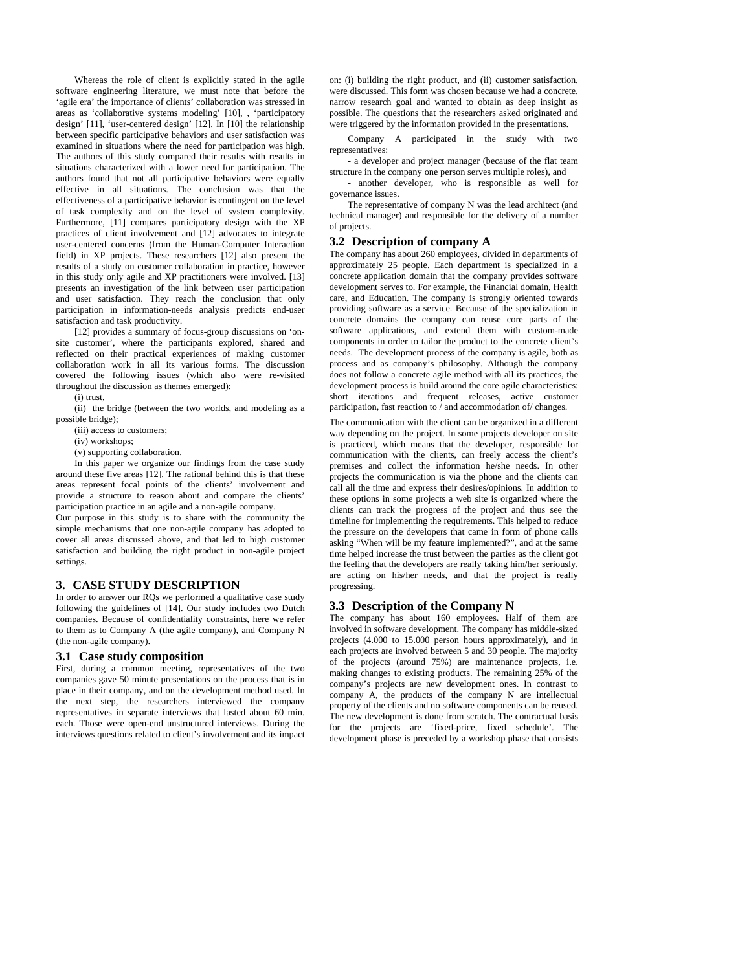Whereas the role of client is explicitly stated in the agile software engineering literature, we must note that before the 'agile era' the importance of clients' collaboration was stressed in areas as 'collaborative systems modeling' [10], , 'participatory design' [11], 'user-centered design' [12]. In [10] the relationship between specific participative behaviors and user satisfaction was examined in situations where the need for participation was high. The authors of this study compared their results with results in situations characterized with a lower need for participation. The authors found that not all participative behaviors were equally effective in all situations. The conclusion was that the effectiveness of a participative behavior is contingent on the level of task complexity and on the level of system complexity. Furthermore, [11] compares participatory design with the XP practices of client involvement and [12] advocates to integrate user-centered concerns (from the Human-Computer Interaction field) in XP projects. These researchers [12] also present the results of a study on customer collaboration in practice, however in this study only agile and XP practitioners were involved. [13] presents an investigation of the link between user participation and user satisfaction. They reach the conclusion that only participation in information-needs analysis predicts end-user satisfaction and task productivity.

[12] provides a summary of focus-group discussions on 'onsite customer', where the participants explored, shared and reflected on their practical experiences of making customer collaboration work in all its various forms. The discussion covered the following issues (which also were re-visited throughout the discussion as themes emerged):

(i) trust,

(ii) the bridge (between the two worlds, and modeling as a possible bridge);

(iii) access to customers;

(iv) workshops;

(v) supporting collaboration.

In this paper we organize our findings from the case study around these five areas [12]. The rational behind this is that these areas represent focal points of the clients' involvement and provide a structure to reason about and compare the clients' participation practice in an agile and a non-agile company.

Our purpose in this study is to share with the community the simple mechanisms that one non-agile company has adopted to cover all areas discussed above, and that led to high customer satisfaction and building the right product in non-agile project settings.

## **3. CASE STUDY DESCRIPTION**

In order to answer our RQs we performed a qualitative case study following the guidelines of [14]. Our study includes two Dutch companies. Because of confidentiality constraints, here we refer to them as to Company A (the agile company), and Company N (the non-agile company).

#### **3.1 Case study composition**

First, during a common meeting, representatives of the two companies gave 50 minute presentations on the process that is in place in their company, and on the development method used. In the next step, the researchers interviewed the company representatives in separate interviews that lasted about 60 min. each. Those were open-end unstructured interviews. During the interviews questions related to client's involvement and its impact

on: (i) building the right product, and (ii) customer satisfaction, were discussed. This form was chosen because we had a concrete, narrow research goal and wanted to obtain as deep insight as possible. The questions that the researchers asked originated and were triggered by the information provided in the presentations.

Company A participated in the study with two representatives:

- a developer and project manager (because of the flat team structure in the company one person serves multiple roles), and

- another developer, who is responsible as well for governance issues.

The representative of company N was the lead architect (and technical manager) and responsible for the delivery of a number of projects.

#### **3.2 Description of company A**

The company has about 260 employees, divided in departments of approximately 25 people. Each department is specialized in a concrete application domain that the company provides software development serves to. For example, the Financial domain, Health care, and Education. The company is strongly oriented towards providing software as a service. Because of the specialization in concrete domains the company can reuse core parts of the software applications, and extend them with custom-made components in order to tailor the product to the concrete client's needs. The development process of the company is agile, both as process and as company's philosophy. Although the company does not follow a concrete agile method with all its practices, the development process is build around the core agile characteristics: short iterations and frequent releases, active customer participation, fast reaction to / and accommodation of/ changes.

The communication with the client can be organized in a different way depending on the project. In some projects developer on site is practiced, which means that the developer, responsible for communication with the clients, can freely access the client's premises and collect the information he/she needs. In other projects the communication is via the phone and the clients can call all the time and express their desires/opinions. In addition to these options in some projects a web site is organized where the clients can track the progress of the project and thus see the timeline for implementing the requirements. This helped to reduce the pressure on the developers that came in form of phone calls asking "When will be my feature implemented?", and at the same time helped increase the trust between the parties as the client got the feeling that the developers are really taking him/her seriously, are acting on his/her needs, and that the project is really progressing.

## **3.3 Description of the Company N**

The company has about 160 employees. Half of them are involved in software development. The company has middle-sized projects (4.000 to 15.000 person hours approximately), and in each projects are involved between 5 and 30 people. The majority of the projects (around 75%) are maintenance projects, i.e. making changes to existing products. The remaining 25% of the company's projects are new development ones. In contrast to company A, the products of the company N are intellectual property of the clients and no software components can be reused. The new development is done from scratch. The contractual basis for the projects are 'fixed-price, fixed schedule'. The development phase is preceded by a workshop phase that consists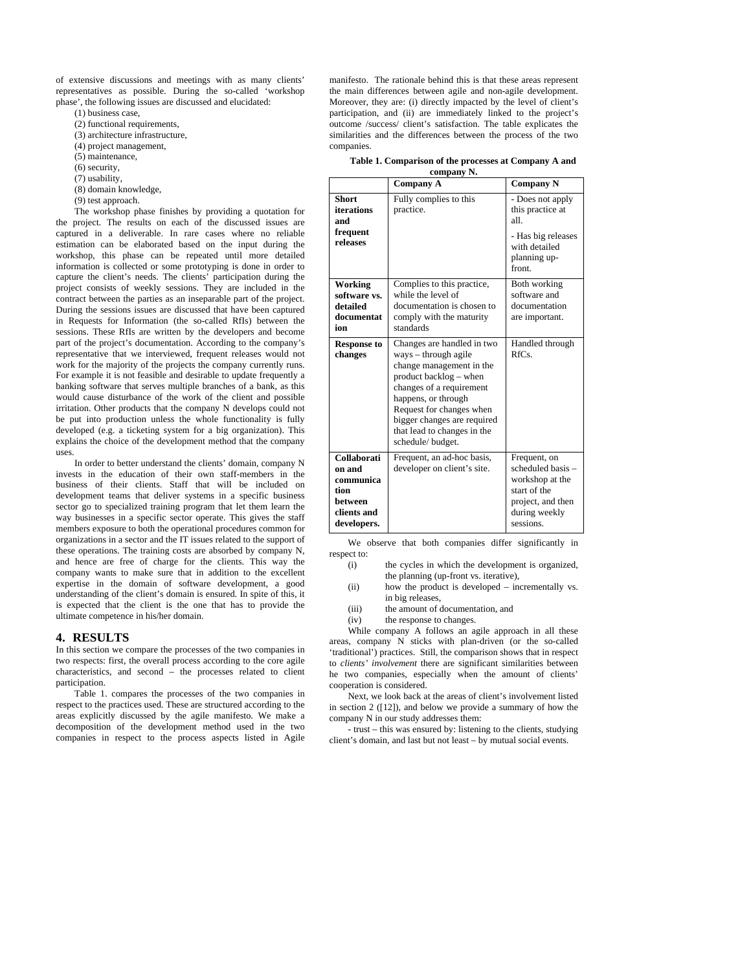of extensive discussions and meetings with as many clients' representatives as possible. During the so-called 'workshop phase', the following issues are discussed and elucidated:

(1) business case,

- (2) functional requirements,
- (3) architecture infrastructure,
- (4) project management,
- (5) maintenance,
- (6) security,
- (7) usability,
- (8) domain knowledge,
- (9) test approach.

The workshop phase finishes by providing a quotation for the project. The results on each of the discussed issues are captured in a deliverable. In rare cases where no reliable estimation can be elaborated based on the input during the workshop, this phase can be repeated until more detailed information is collected or some prototyping is done in order to capture the client's needs. The clients' participation during the project consists of weekly sessions. They are included in the contract between the parties as an inseparable part of the project. During the sessions issues are discussed that have been captured in Requests for Information (the so-called RfIs) between the sessions. These RfIs are written by the developers and become part of the project's documentation. According to the company's representative that we interviewed, frequent releases would not work for the majority of the projects the company currently runs. For example it is not feasible and desirable to update frequently a banking software that serves multiple branches of a bank, as this would cause disturbance of the work of the client and possible irritation. Other products that the company N develops could not be put into production unless the whole functionality is fully developed (e.g. a ticketing system for a big organization). This explains the choice of the development method that the company uses.

In order to better understand the clients' domain, company N invests in the education of their own staff-members in the business of their clients. Staff that will be included on development teams that deliver systems in a specific business sector go to specialized training program that let them learn the way businesses in a specific sector operate. This gives the staff members exposure to both the operational procedures common for organizations in a sector and the IT issues related to the support of these operations. The training costs are absorbed by company N, and hence are free of charge for the clients. This way the company wants to make sure that in addition to the excellent expertise in the domain of software development, a good understanding of the client's domain is ensured. In spite of this, it is expected that the client is the one that has to provide the ultimate competence in his/her domain.

# **4. RESULTS**

In this section we compare the processes of the two companies in two respects: first, the overall process according to the core agile characteristics, and second – the processes related to client participation.

Table 1. compares the processes of the two companies in respect to the practices used. These are structured according to the areas explicitly discussed by the agile manifesto. We make a decomposition of the development method used in the two companies in respect to the process aspects listed in Agile

manifesto. The rationale behind this is that these areas represent the main differences between agile and non-agile development. Moreover, they are: (i) directly impacted by the level of client's participation, and (ii) are immediately linked to the project's outcome /success/ client's satisfaction. The table explicates the similarities and the differences between the process of the two companies.

| Table 1. Comparison of the processes at Company A and |  |  |  |  |
|-------------------------------------------------------|--|--|--|--|
| aamnann N                                             |  |  |  |  |

| company N.                                                                          |                                                                                                                                                                                                                                                                             |                                                                                                                         |  |
|-------------------------------------------------------------------------------------|-----------------------------------------------------------------------------------------------------------------------------------------------------------------------------------------------------------------------------------------------------------------------------|-------------------------------------------------------------------------------------------------------------------------|--|
|                                                                                     | <b>Company A</b>                                                                                                                                                                                                                                                            | <b>Company N</b>                                                                                                        |  |
| <b>Short</b><br>iterations<br>and                                                   | Fully complies to this<br>practice.                                                                                                                                                                                                                                         | - Does not apply<br>this practice at<br>all                                                                             |  |
| frequent<br>releases                                                                |                                                                                                                                                                                                                                                                             | - Has big releases<br>with detailed<br>planning up-<br>front.                                                           |  |
| Working<br>software vs.<br>detailed<br>documentat<br>ion                            | Complies to this practice,<br>while the level of<br>documentation is chosen to<br>comply with the maturity<br>standards                                                                                                                                                     | Both working<br>software and<br>documentation<br>are important.                                                         |  |
| <b>Response to</b><br>changes                                                       | Changes are handled in two<br>$ways - through agile$<br>change management in the<br>product backlog – when<br>changes of a requirement<br>happens, or through<br>Request for changes when<br>bigger changes are required<br>that lead to changes in the<br>schedule/budget. | Handled through<br>RfCs                                                                                                 |  |
| Collaborati<br>on and<br>communica<br>tion<br>hetween<br>clients and<br>developers. | Frequent, an ad-hoc basis,<br>developer on client's site.                                                                                                                                                                                                                   | Frequent, on<br>scheduled basis -<br>workshop at the<br>start of the<br>project, and then<br>during weekly<br>sessions. |  |

We observe that both companies differ significantly in respect to:

- (i) the cycles in which the development is organized, the planning (up-front vs. iterative),
- (ii) how the product is developed incrementally vs. in big releases,
- (iii) the amount of documentation, and
- (iv) the response to changes.

While company A follows an agile approach in all these areas, company N sticks with plan-driven (or the so-called 'traditional') practices. Still, the comparison shows that in respect to *clients' involvement* there are significant similarities between he two companies, especially when the amount of clients' cooperation is considered.

Next, we look back at the areas of client's involvement listed in section 2 ([12]), and below we provide a summary of how the company N in our study addresses them:

- trust – this was ensured by: listening to the clients, studying client's domain, and last but not least – by mutual social events.